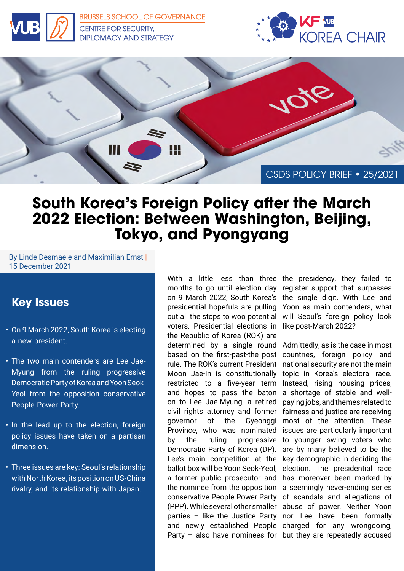

[BRUSSELS SCHOOL OF GOVERNANCE](https://brussels-school.be/research/security-diplomacy-and-strategy) CENTRE FOR SECURITY, DIPLOMACY AND STRATEGY





## **South Korea's Foreign Policy after the March 2022 Election: Between Washington, Beijing, Tokyo, and Pyongyang**

By Linde Desmaele and Maximilian Ernst | 15 December 2021

## **Key Issues**

- On 9 March 2022, South Korea is electing a new president.
- The two main contenders are Lee Jae-Myung from the ruling progressive Democratic Party of Korea and Yoon Seok-Yeol from the opposition conservative People Power Party.
- In the lead up to the election, foreign policy issues have taken on a partisan dimension.
- Three issues are key: Seoul's relationship with North Korea, its position on US-China rivalry, and its relationship with Japan.

With a little less than three the presidency, they failed to months to go until election day register support that surpasses on 9 March 2022, South Korea's the single digit. With Lee and presidential hopefuls are pulling Yoon as main contenders, what out all the stops to woo potential will Seoul's foreign policy look voters. Presidential elections in like post-March 2022? the Republic of Korea (ROK) are determined by a single round Admittedly, as is the case in most based on the first-past-the post rule. The ROK's current President Moon Jae-In is constitutionally restricted to a five-year term Instead, rising housing prices, and hopes to pass the baton on to Lee Jae-Myung, a retired civil rights attorney and former governor of the Gyeonggi Province, who was nominated issues are particularly important by the ruling progressive to younger swing voters who Democratic Party of Korea (DP). are by many believed to be the Lee's main competition at the key demographic in deciding the ballot box will be Yoon Seok-Yeol, election. The presidential race a former public prosecutor and has moreover been marked by the nominee from the opposition a seemingly never-ending series conservative People Power Party of scandals and allegations of (PPP). While several other smaller abuse of power. Neither Yoon parties – like the Justice Party nor Lee have been formally and newly established People charged for any wrongdoing,

Party – also have nominees for but they are repeatedly accused countries, foreign policy and national security are not the main topic in Korea's electoral race. a shortage of stable and wellpaying jobs, and themes related to fairness and justice are receiving most of the attention. These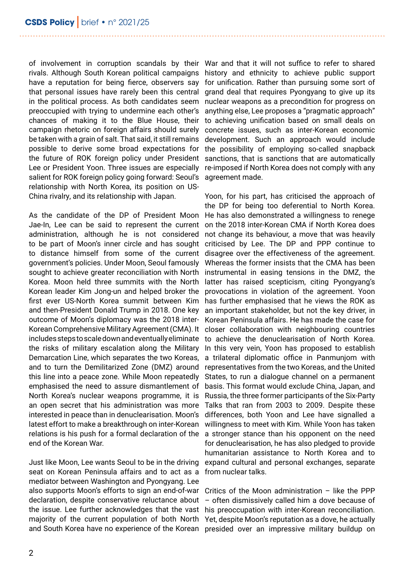of involvement in corruption scandals by their War and that it will not suffice to refer to shared rivals. Although South Korean political campaigns history and ethnicity to achieve public support have a reputation for being fierce, observers say that personal issues have rarely been this central in the political process. As both candidates seem preoccupied with trying to undermine each other's chances of making it to the Blue House, their campaign rhetoric on foreign affairs should surely be taken with a grain of salt. That said, it still remains possible to derive some broad expectations for the future of ROK foreign policy under President Lee or President Yoon. Three issues are especially salient for ROK foreign policy going forward: Seoul's agreement made. relationship with North Korea, its position on US-China rivalry, and its relationship with Japan.

As the candidate of the DP of President Moon Jae-In, Lee can be said to represent the current administration, although he is not considered to be part of Moon's inner circle and has sought to distance himself from some of the current government's policies. Under Moon, Seoul famously sought to achieve greater reconciliation with North Korea. Moon held three summits with the North Korean leader Kim Jong-un and helped broker the first ever US-North Korea summit between Kim and then-President Donald Trump in 2018. One key outcome of Moon's diplomacy was the 2018 inter-Korean Comprehensive Military Agreement (CMA). It includes steps to scale down and eventually eliminate the risks of military escalation along the Military Demarcation Line, which separates the two Koreas, and to turn the Demilitarized Zone (DMZ) around this line into a peace zone. While Moon repeatedly emphasised the need to assure dismantlement of North Korea's nuclear weapons programme, it is an open secret that his administration was more interested in peace than in denuclearisation. Moon's latest effort to make a breakthrough on inter-Korean relations is his push for a formal declaration of the end of the Korean War.

Just like Moon, Lee wants Seoul to be in the driving seat on Korean Peninsula affairs and to act as a mediator between Washington and Pyongyang. Lee also supports Moon's efforts to sign an end-of-war declaration, despite conservative reluctance about the issue. Lee further acknowledges that the vast majority of the current population of both North Yet, despite Moon's reputation as a dove, he actually

for unification. Rather than pursuing some sort of grand deal that requires Pyongyang to give up its nuclear weapons as a precondition for progress on anything else, Lee proposes a "pragmatic approach" to achieving unification based on small deals on concrete issues, such as inter-Korean economic development. Such an approach would include the possibility of employing so-called snapback sanctions, that is sanctions that are automatically re-imposed if North Korea does not comply with any

Yoon, for his part, has criticised the approach of the DP for being too deferential to North Korea. He has also demonstrated a willingness to renege on the 2018 inter-Korean CMA if North Korea does not change its behaviour, a move that was heavily criticised by Lee. The DP and PPP continue to disagree over the effectiveness of the agreement. Whereas the former insists that the CMA has been instrumental in easing tensions in the DMZ, the latter has raised scepticism, citing Pyongyang's provocations in violation of the agreement. Yoon has further emphasised that he views the ROK as an important stakeholder, but not the key driver, in Korean Peninsula affairs. He has made the case for closer collaboration with neighbouring countries to achieve the denuclearisation of North Korea. In this very vein, Yoon has proposed to establish a trilateral diplomatic office in Panmunjom with representatives from the two Koreas, and the United States, to run a dialogue channel on a permanent basis. This format would exclude China, Japan, and Russia, the three former participants of the Six-Party Talks that ran from 2003 to 2009. Despite these differences, both Yoon and Lee have signalled a willingness to meet with Kim. While Yoon has taken a stronger stance than his opponent on the need for denuclearisation, he has also pledged to provide humanitarian assistance to North Korea and to expand cultural and personal exchanges, separate from nuclear talks.

and South Korea have no experience of the Korean presided over an impressive military buildup on Critics of the Moon administration – like the PPP – often dismissively called him a dove because of his preoccupation with inter-Korean reconciliation.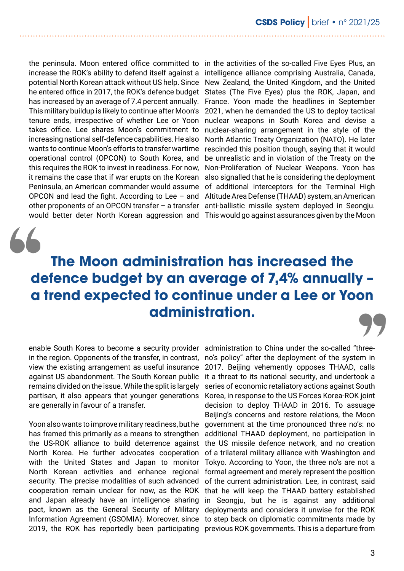the peninsula. Moon entered office committed to in the activities of the so-called Five Eyes Plus, an increase the ROK's ability to defend itself against a potential North Korean attack without US help. Since he entered office in 2017, the ROK's defence budget has increased by an average of 7.4 percent annually. This military buildup is likely to continue after Moon's tenure ends, irrespective of whether Lee or Yoon takes office. Lee shares Moon's commitment to increasing national self-defence capabilities. He also wants to continue Moon's efforts to transfer wartime operational control (OPCON) to South Korea, and this requires the ROK to invest in readiness. For now, it remains the case that if war erupts on the Korean Peninsula, an American commander would assume OPCON and lead the fight. According to Lee – and

other proponents of an OPCON transfer – a transfer anti-ballistic missile system deployed in Seongju. would better deter North Korean aggression and This would go against assurances given by the Moon intelligence alliance comprising Australia, Canada, New Zealand, the United Kingdom, and the United States (The Five Eyes) plus the ROK, Japan, and France. Yoon made the headlines in September 2021, when he demanded the US to deploy tactical nuclear weapons in South Korea and devise a nuclear-sharing arrangement in the style of the North Atlantic Treaty Organization (NATO). He later rescinded this position though, saying that it would be unrealistic and in violation of the Treaty on the Non-Proliferation of Nuclear Weapons. Yoon has also signalled that he is considering the deployment of additional interceptors for the Terminal High Altitude Area Defense (THAAD) system, an American

# **The Moon administration has increased the defence budget by an average of 7,4% annually – a trend expected to continue under a Lee or Yoon administration.**

enable South Korea to become a security provider in the region. Opponents of the transfer, in contrast, view the existing arrangement as useful insurance against US abandonment. The South Korean public remains divided on the issue. While the split is largely partisan, it also appears that younger generations are generally in favour of a transfer.

Yoon also wants to improve military readiness, but he has framed this primarily as a means to strengthen the US-ROK alliance to build deterrence against North Korea. He further advocates cooperation with the United States and Japan to monitor North Korean activities and enhance regional security. The precise modalities of such advanced cooperation remain unclear for now, as the ROK and Japan already have an intelligence sharing pact, known as the General Security of Military

Information Agreement (GSOMIA). Moreover, since to step back on diplomatic commitments made by 2019, the ROK has reportedly been participating previous ROK governments. This is a departure from administration to China under the so-called "threeno's policy" after the deployment of the system in 2017. Beijing vehemently opposes THAAD, calls it a threat to its national security, and undertook a series of economic retaliatory actions against South Korea, in response to the US Forces Korea-ROK joint decision to deploy THAAD in 2016. To assuage Beijing's concerns and restore relations, the Moon government at the time pronounced three no's: no additional THAAD deployment, no participation in the US missile defence network, and no creation of a trilateral military alliance with Washington and Tokyo. According to Yoon, the three no's are not a formal agreement and merely represent the position of the current administration. Lee, in contrast, said that he will keep the THAAD battery established in Seongju, but he is against any additional deployments and considers it unwise for the ROK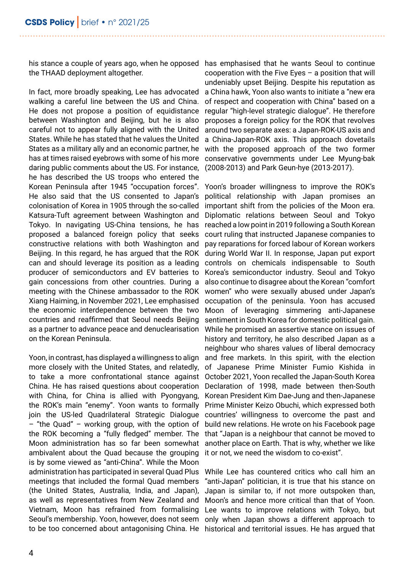the THAAD deployment altogether.

In fact, more broadly speaking, Lee has advocated walking a careful line between the US and China. He does not propose a position of equidistance between Washington and Beijing, but he is also careful not to appear fully aligned with the United States. While he has stated that he values the United States as a military ally and an economic partner, he has at times raised eyebrows with some of his more daring public comments about the US. For instance, he has described the US troops who entered the Korean Peninsula after 1945 "occupation forces". He also said that the US consented to Japan's colonisation of Korea in 1905 through the so-called Katsura-Tuft agreement between Washington and Tokyo. In navigating US-China tensions, he has proposed a balanced foreign policy that seeks constructive relations with both Washington and Beijing. In this regard, he has argued that the ROK can and should leverage its position as a leading producer of semiconductors and EV batteries to gain concessions from other countries. During a meeting with the Chinese ambassador to the ROK Xiang Haiming, in November 2021, Lee emphasised the economic interdependence between the two countries and reaffirmed that Seoul needs Beijing as a partner to advance peace and denuclearisation on the Korean Peninsula.

Yoon, in contrast, has displayed a willingness to align more closely with the United States, and relatedly, to take a more confrontational stance against China. He has raised questions about cooperation with China, for China is allied with Pyongyang, the ROK's main "enemy". Yoon wants to formally join the US-led Quadrilateral Strategic Dialogue – "the Quad" – working group, with the option of the ROK becoming a "fully fledged" member. The Moon administration has so far been somewhat ambivalent about the Quad because the grouping is by some viewed as "anti-China". While the Moon administration has participated in several Quad Plus meetings that included the formal Quad members (the United States, Australia, India, and Japan), as well as representatives from New Zealand and Vietnam, Moon has refrained from formalising Seoul's membership. Yoon, however, does not seem to be too concerned about antagonising China. He historical and territorial issues. He has argued that

his stance a couple of years ago, when he opposed has emphasised that he wants Seoul to continue cooperation with the Five Eyes – a position that will undeniably upset Beijing. Despite his reputation as a China hawk, Yoon also wants to initiate a "new era of respect and cooperation with China" based on a regular "high-level strategic dialogue". He therefore proposes a foreign policy for the ROK that revolves around two separate axes: a Japan-ROK-US axis and a China-Japan-ROK axis. This approach dovetails with the proposed approach of the two former conservative governments under Lee Myung-bak (2008-2013) and Park Geun-hye (2013-2017).

> Yoon's broader willingness to improve the ROK's political relationship with Japan promises an important shift from the policies of the Moon era. Diplomatic relations between Seoul and Tokyo reached a low point in 2019 following a South Korean court ruling that instructed Japanese companies to pay reparations for forced labour of Korean workers during World War II. In response, Japan put export controls on chemicals indispensable to South Korea's semiconductor industry. Seoul and Tokyo also continue to disagree about the Korean "comfort women" who were sexually abused under Japan's occupation of the peninsula. Yoon has accused Moon of leveraging simmering anti-Japanese sentiment in South Korea for domestic political gain. While he promised an assertive stance on issues of history and territory, he also described Japan as a neighbour who shares values of liberal democracy and free markets. In this spirit, with the election of Japanese Prime Minister Fumio Kishida in October 2021, Yoon recalled the Japan-South Korea Declaration of 1998, made between then-South Korean President Kim Dae-Jung and then-Japanese Prime Minister Keizo Obuchi, which expressed both countries' willingness to overcome the past and build new relations. He wrote on his Facebook page that "Japan is a neighbour that cannot be moved to another place on Earth. That is why, whether we like it or not, we need the wisdom to co-exist".

> While Lee has countered critics who call him an "anti-Japan" politician, it is true that his stance on Japan is similar to, if not more outspoken than, Moon's and hence more critical than that of Yoon. Lee wants to improve relations with Tokyo, but only when Japan shows a different approach to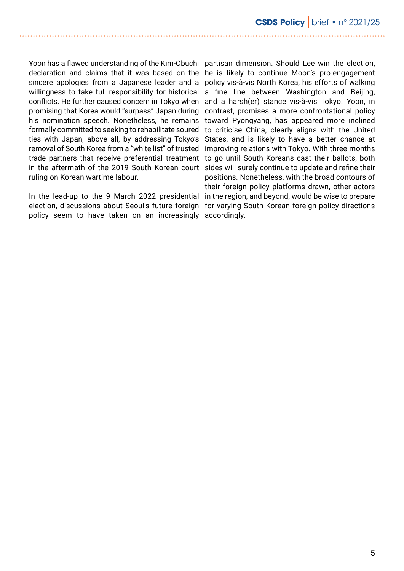Yoon has a flawed understanding of the Kim-Obuchi partisan dimension. Should Lee win the election, declaration and claims that it was based on the he is likely to continue Moon's pro-engagement sincere apologies from a Japanese leader and a policy vis-à-vis North Korea, his efforts of walking willingness to take full responsibility for historical a fine line between Washington and Beijing, conflicts. He further caused concern in Tokyo when and a harsh(er) stance vis-à-vis Tokyo. Yoon, in promising that Korea would "surpass" Japan during his nomination speech. Nonetheless, he remains formally committed to seeking to rehabilitate soured ties with Japan, above all, by addressing Tokyo's removal of South Korea from a "white list" of trusted trade partners that receive preferential treatment to go until South Koreans cast their ballots, both in the aftermath of the 2019 South Korean court sides will surely continue to update and refine their ruling on Korean wartime labour.

In the lead-up to the 9 March 2022 presidential in the region, and beyond, would be wise to prepare election, discussions about Seoul's future foreign for varying South Korean foreign policy directions policy seem to have taken on an increasingly accordingly.

contrast, promises a more confrontational policy toward Pyongyang, has appeared more inclined to criticise China, clearly aligns with the United States, and is likely to have a better chance at improving relations with Tokyo. With three months positions. Nonetheless, with the broad contours of their foreign policy platforms drawn, other actors